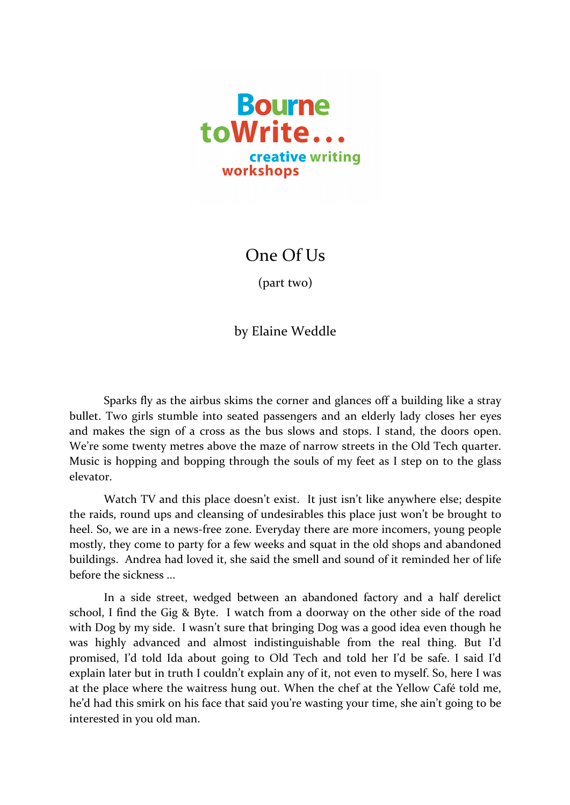

One Of Us

 $(part two)$ 

by Elaine Weddle

Sparks fly as the airbus skims the corner and glances off a building like a stray bullet. Two girls stumble into seated passengers and an elderly lady closes her eyes and makes the sign of a cross as the bus slows and stops. I stand, the doors open. We're some twenty metres above the maze of narrow streets in the Old Tech quarter. Music is hopping and bopping through the souls of my feet as I step on to the glass elevator.

Watch TV and this place doesn't exist. It just isn't like anywhere else; despite the raids, round ups and cleansing of undesirables this place just won't be brought to heel. So, we are in a news-free zone. Everyday there are more incomers, young people mostly, they come to party for a few weeks and squat in the old shops and abandoned buildings. Andrea had loved it, she said the smell and sound of it reminded her of life before the sickness

In a side street, wedged between an abandoned factory and a half derelict school, I find the Gig & Byte. I watch from a doorway on the other side of the road with Dog by my side. I wasn't sure that bringing Dog was a good idea even though he was highly advanced and almost indistinguishable from the real thing. But I'd promised, I'd told Ida about going to Old Tech and told her I'd be safe. I said I'd explain later but in truth I couldn't explain any of it, not even to myself. So, here I was at the place where the waitress hung out. When the chef at the Yellow Café told me, he'd had this smirk on his face that said you're wasting your time, she ain't going to be interested in you old man.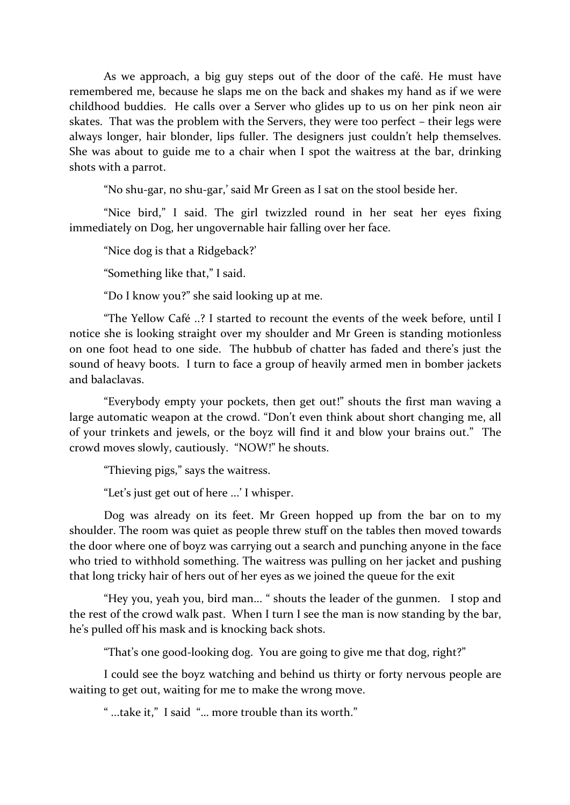As we approach, a big guy steps out of the door of the café. He must have remembered me, because he slaps me on the back and shakes my hand as if we were childhood buddies. He calls over a Server who glides up to us on her pink neon air skates. That was the problem with the Servers, they were too perfect  $-$  their legs were always longer, hair blonder, lips fuller. The designers just couldn't help themselves. She was about to guide me to a chair when I spot the waitress at the bar, drinking shots with a parrot.

"No shu-gar, no shu-gar,' said Mr Green as I sat on the stool beside her.

"Nice bird," I said. The girl twizzled round in her seat her eyes fixing immediately on Dog, her ungovernable hair falling over her face.

"Nice dog is that a Ridgeback?"

"Something like that," I said.

"Do I know you?" she said looking up at me.

"The Yellow Café ..? I started to recount the events of the week before, until I notice she is looking straight over my shoulder and Mr Green is standing motionless on one foot head to one side. The hubbub of chatter has faded and there's just the sound of heavy boots. I turn to face a group of heavily armed men in bomber jackets and balaclavas.

"Everybody empty your pockets, then get out!" shouts the first man waving a large automatic weapon at the crowd. "Don't even think about short changing me, all of your trinkets and jewels, or the boyz will find it and blow your brains out." The crowd moves slowly, cautiously. "NOW!" he shouts.

"Thieving pigs," says the waitress.

"Let's just get out of here ...' I whisper.

Dog was already on its feet. Mr Green hopped up from the bar on to my shoulder. The room was quiet as people threw stuff on the tables then moved towards the door where one of boyz was carrying out a search and punching anyone in the face who tried to withhold something. The waitress was pulling on her jacket and pushing that long tricky hair of hers out of her eyes as we joined the queue for the exit

"Hey you, yeah you, bird man... " shouts the leader of the gunmen. I stop and the rest of the crowd walk past. When I turn I see the man is now standing by the bar, he's pulled off his mask and is knocking back shots.

"That's one good-looking dog. You are going to give me that dog, right?"

I could see the boyz watching and behind us thirty or forty nervous people are waiting to get out, waiting for me to make the wrong move.

" ...take it," I said "... more trouble than its worth."